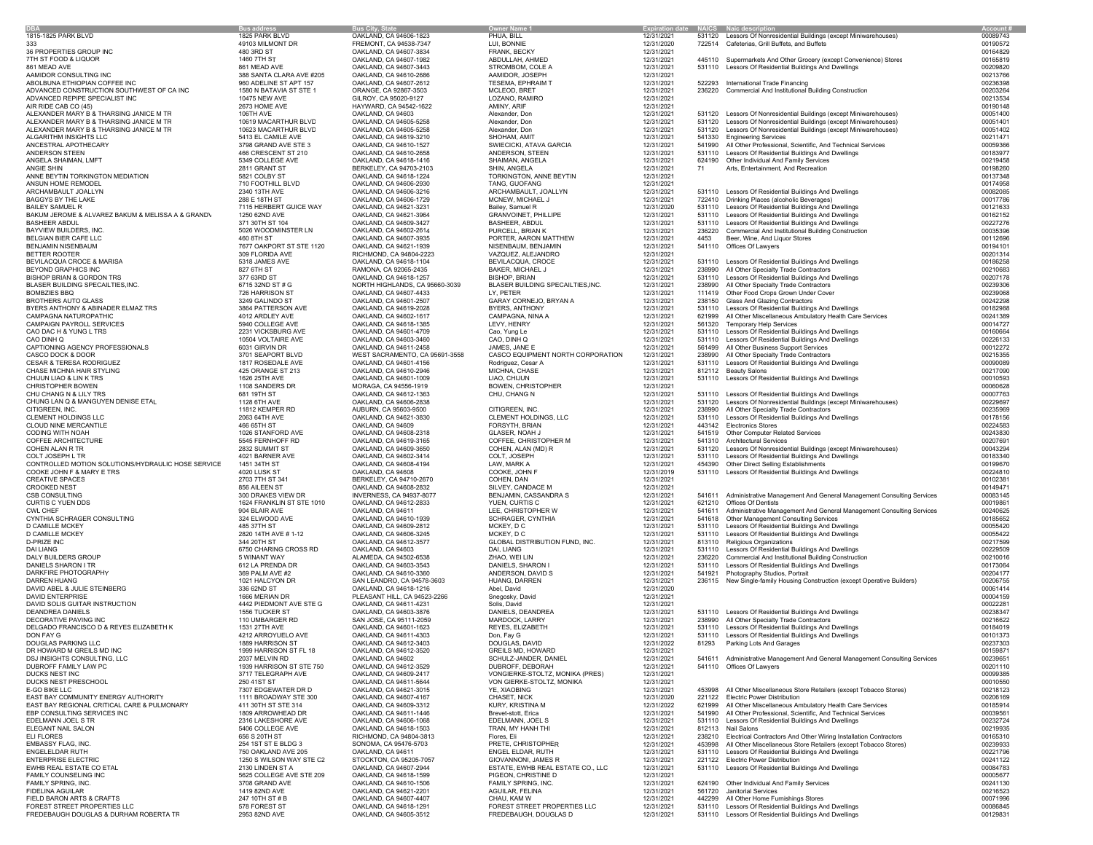| <b>DBA</b>                                                                 | <b>Bus address</b>                         | <b>Bus City, State</b>                            | <b>Owner Name</b>                           | <b>Expiration date NAICS Naic descript</b> |                  |                                                                                                                       | Account              |
|----------------------------------------------------------------------------|--------------------------------------------|---------------------------------------------------|---------------------------------------------|--------------------------------------------|------------------|-----------------------------------------------------------------------------------------------------------------------|----------------------|
| 1815-1825 PARK BLVD<br>333                                                 | 1825 PARK BLVD                             | OAKLAND, CA 94606-1823                            | PHUA, BILL                                  | 12/31/2021                                 |                  | 531120 Lessors Of Nonresidential Buildings (except Miniwarehouses)                                                    | 00089743             |
| 36 PROPERTIES GROUP INC                                                    | 49103 MILMONT DR<br>480 3RD ST             | FREMONT, CA 94538-7347<br>OAKLAND, CA 94607-3834  | LUI, BONNIE<br>FRANK, BECKY                 | 12/31/2020<br>12/31/2021                   |                  | 722514 Cafeterias, Grill Buffets, and Buffets                                                                         | 00190572<br>00164829 |
| 7TH ST FOOD & LIQUOR                                                       | 1460 7TH ST                                | OAKLAND, CA 94607-1982                            | ABDULLAH, AHMED                             | 12/31/2021                                 |                  | 445110 Supermarkets And Other Grocery (except Convenience) Stores                                                     | 00165819             |
| 861 MEAD AVE                                                               | 861 MEAD AVE                               | OAKLAND, CA 94607-3443                            | STROMBOM, COLE A                            | 12/31/2021                                 |                  | 531110 Lessors Of Residential Buildings And Dwellings                                                                 | 00209820             |
| AAMIDOR CONSULTING INC                                                     | 388 SANTA CLARA AVE #205                   | OAKLAND, CA 94610-2686                            | AAMIDOR, JOSEPH                             | 12/31/2021                                 |                  |                                                                                                                       | 00213766             |
| ABOLBUNA ETHIOPIAN COFFEE INC                                              | 960 ADELINE ST APT 157                     | OAKLAND, CA 94607-2612                            | TESEMA, EPHRAIM T                           | 12/31/2021                                 |                  | 522293 International Trade Financing                                                                                  | 00236398             |
| ADVANCED CONSTRUCTION SOUTHWEST OF CA INC                                  | 1580 N BATAVIA ST STE 1                    | ORANGE, CA 92867-3503                             | MCLEOD, BRET                                | 12/31/2021                                 |                  | 236220 Commercial And Institutional Building Construction                                                             | 00203264             |
| ADVANCED REPIPE SPECIALIST INC                                             | 10475 NEW AVE                              | GILROY, CA 95020-9127                             | LOZANO, RAMIRO                              | 12/31/2021                                 |                  |                                                                                                                       | 00213534             |
| AIR RIDE CAB CO (45)                                                       | 2673 HOME AVE                              | HAYWARD, CA 94542-1622                            | AMINY, ARIF                                 | 12/31/2021                                 |                  |                                                                                                                       | 00190148             |
| ALEXANDER MARY B & THARSING JANICE M TR                                    | 106TH AVE                                  | OAKLAND, CA 94603                                 | Alexander, Don                              | 12/31/2021                                 |                  | 531120 Lessors Of Nonresidential Buildings (except Miniwarehouses)                                                    | 00051400             |
| ALEXANDER MARY B & THARSING JANICE M TR                                    | 10619 MACARTHUR BLVD                       | OAKLAND, CA 94605-5258                            | Alexander, Don                              | 12/31/2021                                 |                  | 531120 Lessors Of Nonresidential Buildings (except Miniwarehouses)                                                    | 00051401             |
| ALEXANDER MARY B & THARSING JANICE M TR                                    | 10623 MACARTHUR BLVD<br>5413 EL CAMILE AVE | OAKLAND, CA 94605-5258                            | Alexander, Don                              | 12/31/2021                                 |                  | 531120 Lessors Of Nonresidential Buildings (except Miniwarehouses)<br>541330 Engineering Services                     | 00051402<br>00211471 |
| ALGARITHM INSIGHTS LLC<br>ANCESTRAL APOTHECARY                             | 3798 GRAND AVE STE 3                       | OAKLAND, CA 94619-3210<br>OAKLAND, CA 94610-1527  | SHOHAM, AMIT<br>SWIECICKI, ATAVA GARCIA     | 12/31/2021<br>12/31/2021                   |                  | 541990 All Other Professional, Scientific, And Technical Services                                                     | 00059366             |
| ANDERSON STEEN                                                             | 466 CRESCENT ST 210                        | OAKLAND, CA 94610-2658                            | ANDERSON, STEEN                             | 12/31/2021                                 |                  | 531110 Lessors Of Residential Buildings And Dwellings                                                                 | 00183977             |
| ANGELA SHAIMAN, LMFT                                                       | 5349 COLLEGE AVE                           | OAKLAND, CA 94618-1416                            | SHAIMAN, ANGELA                             | 12/31/2021                                 |                  | 624190 Other Individual And Family Services                                                                           | 00219458             |
| ANGIE SHIN                                                                 | 2811 GRANT ST                              | BERKELEY, CA 94703-2103                           | SHIN, ANGELA                                | 12/31/2021                                 | 71               | Arts. Entertainment. And Recreation                                                                                   | 00198260             |
| ANNE BEYTIN TORKINGTON MEDIATION                                           | 5821 COLBY ST                              | OAKLAND, CA 94618-1224                            | TORKINGTON, ANNE BEYTIN                     | 12/31/2021                                 |                  |                                                                                                                       | 00137348             |
| ANSUN HOME REMODEL                                                         | 710 FOOTHILL BLVD                          | OAKLAND, CA 94606-2930                            | TANG, GUOFANG                               | 12/31/2021                                 |                  |                                                                                                                       | 00174958             |
| ARCHAMBAULT JOALLYN                                                        | 2340 13TH AVE                              | OAKLAND, CA 94606-3216                            | ARCHAMBAULT, JOALLYN                        | 12/31/2021                                 |                  | 531110 Lessors Of Residential Buildings And Dwellings                                                                 | 00082085             |
| BAGGYS BY THE LAKE                                                         | 288 E 18TH ST                              | OAKLAND, CA 94606-1729                            | MCNEW, MICHAEL J                            | 12/31/2021                                 |                  | 722410 Drinking Places (alcoholic Beverages)                                                                          | 00017786             |
| <b>BAILEY SAMUEL R</b>                                                     | 7115 HERBERT GUICE WAY                     | OAKLAND, CA 94621-3231                            | Bailey, Samuel R                            | 12/31/2020                                 |                  | 531110 Lessors Of Residential Buildings And Dwellings                                                                 | 00121633             |
| BAKUM JEROME & ALVAREZ BAKUM & MELISSA A & GRANDV                          | 1250 62ND AVE                              | OAKLAND, CA 94621-3964                            | GRANVOINET, PHILLIPE                        | 12/31/2021                                 |                  | 531110 Lessors Of Residential Buildings And Dwellings                                                                 | 00162152             |
| <b>BASHEER ABDUL</b>                                                       | 371 30TH ST 104                            | OAKLAND, CA 94609-3427                            | BASHEER, ABDUL                              | 12/31/2021                                 |                  | 531110 Lessors Of Residential Buildings And Dwellings                                                                 | 00227276             |
| BAYVIEW BUILDERS, INC.                                                     | 5026 WOODMINSTER LN<br>460 8TH ST          | OAKLAND, CA 94602-2614                            | PURCELL, BRIAN K<br>PORTER, AARON MATTHEW   | 12/31/2021                                 | 4453             | 236220 Commercial And Institutional Building Construction                                                             | 00035396<br>00112696 |
| BELGIAN BIER CAFE LLC<br>BENJAMIN NISENBAUM                                | 7677 OAKPORT ST STE 1120                   | OAKLAND, CA 94607-3935<br>OAKLAND, CA 94621-1939  | NISENBAUM, BENJAMIN                         | 12/31/2021<br>12/31/2021                   |                  | Beer, Wine, And Liquor Stores<br>541110 Offices Of Lawyers                                                            | 00194101             |
| BETTER ROOTER                                                              | 309 FLORIDA AVE                            | RICHMOND, CA 94804-2223                           | VAZQUEZ, ALEJANDRO                          | 12/31/2021                                 |                  |                                                                                                                       | 00201314             |
| BEVILACQUA CROCE & MARISA                                                  | 5318 JAMES AVE                             | OAKLAND, CA 94618-1104                            | BEVILACQUA, CROCE                           | 12/31/2021                                 |                  | 531110 Lessors Of Residential Buildings And Dwellings                                                                 | 00186258             |
| BEYOND GRAPHICS INC                                                        | 827 6TH ST                                 | RAMONA, CA 92065-2435                             | BAKER, MICHAEL J                            | 12/31/2021                                 | 238990           | All Other Specialty Trade Contractors                                                                                 | 00210683             |
| <b>BISHOP BRIAN &amp; GORDON TRS</b>                                       | 377 63RD ST                                | OAKLAND, CA 94618-1257                            | <b>BISHOP, BRIAN</b>                        | 12/31/2021                                 |                  | 531110 Lessors Of Residential Buildings And Dwellings                                                                 | 00207178             |
| BLASER BUILDING SPECAILTIES, INC.                                          | 6715 32ND ST # G                           | NORTH HIGHLANDS, CA 95660-3039                    | BLASER BUILDING SPECAILTIES, INC.           | 12/31/2021                                 |                  | 238990 All Other Specialty Trade Contractors                                                                          | 00239306             |
| <b>BOMBZIES BBQ</b>                                                        | 726 HARRISON ST                            | OAKLAND, CA 94607-4433                            | LY, PETER                                   | 12/31/2021                                 |                  | 111419 Other Food Crops Grown Under Cover                                                                             | 00239068             |
| <b>BROTHERS AUTO GLASS</b>                                                 | 3249 GALINDO ST                            | OAKLAND, CA 94601-2507                            | GARAY CORNEJO, BRYAN A                      | 12/31/2021                                 |                  | 238150 Glass And Glazing Contractors                                                                                  | 00242298             |
| BYERS ANTHONY & ABINADER ELMAZ TRS                                         | 3864 PATTERSON AVE                         | OAKLAND, CA 94619-2028                            | BYERS, ANTHONY                              | 12/31/2021                                 |                  | 531110 Lessors Of Residential Buildings And Dwellings                                                                 | 00182988             |
| CAMPAGNA NATUROPATHIC                                                      | 4012 ARDLEY AVE                            | OAKLAND, CA 94602-1617                            | CAMPAGNA, NINA A                            | 12/31/2021                                 |                  | 621999 All Other Miscellaneous Ambulatory Health Care Services                                                        | 00241389             |
| CAMPAIGN PAYROLL SERVICES                                                  | 5940 COLLEGE AVE                           | OAKLAND, CA 94618-1385                            | LEVY, HENRY                                 | 12/31/2021                                 |                  | 561320 Temporary Help Services                                                                                        | 00014727             |
| CAO DAC H & YUNG L TRS                                                     | 2231 VICKSBURG AVE                         | OAKLAND, CA 94601-4709                            | Cao, Yung Le<br>CAO, DINH Q                 | 12/31/2021                                 |                  | 531110 Lessors Of Residential Buildings And Dwellings                                                                 | 00160664             |
| CAO DINH Q<br>CAPTIONING AGENCY PROFESSIONALS                              | 10504 VOLTAIRE AVE<br>6031 GIRVIN DR       | OAKLAND, CA 94603-3460<br>OAKLAND, CA 94611-2458  | JAMES, JANE E                               | 12/31/2021<br>12/31/2021                   |                  | 531110 Lessors Of Residential Buildings And Dwellings<br>561499 All Other Business Support Services                   | 00226133<br>00012272 |
| CASCO DOCK & DOOR                                                          | 3701 SEAPORT BLVD                          | WEST SACRAMENTO, CA 95691-3558                    | CASCO EQUIPMENT NORTH CORPORATION           | 12/31/2021                                 | 238990           | All Other Specialty Trade Contractors                                                                                 | 00215355             |
| CESAR & TERESA RODRIGUEZ                                                   | 1817 ROSEDALE AVE                          | OAKLAND, CA 94601-4156                            | Rodriguez, Cesar A                          | 12/31/2021                                 |                  | 531110 Lessors Of Residential Buildings And Dwellings                                                                 | 00090089             |
| CHASE MICHNA HAIR STYLING                                                  | 425 ORANGE ST 213                          | OAKLAND, CA 94610-2946                            | MICHNA, CHASE                               | 12/31/2021                                 |                  | 812112 Beauty Salons                                                                                                  | 00217090             |
| CHIJUN LIAO & LIN K TRS                                                    | 1626 25TH AVE                              | OAKLAND, CA 94601-1009                            | LIAO, CHIJUN                                | 12/31/2021                                 |                  | 531110 Lessors Of Residential Buildings And Dwellings                                                                 | 00010593             |
| CHRISTOPHER BOWEN                                                          | 1108 SANDERS DR                            | MORAGA, CA 94556-1919                             | BOWEN, CHRISTOPHER                          | 12/31/2021                                 |                  |                                                                                                                       | 00060628             |
| CHU CHANG N & LILY TRS                                                     | 681 19TH ST                                | OAKLAND, CA 94612-1363                            | CHU, CHANG N                                | 12/31/2021                                 |                  | 531110 Lessors Of Residential Buildings And Dwellings                                                                 | 00007763             |
| CHUNG LAN Q & MANGUYEN DENISE ETAL                                         | 1128 6TH AVE                               | OAKLAND, CA 94606-2838                            |                                             | 12/31/2021                                 |                  | 531120 Lessors Of Nonresidential Buildings (except Miniwarehouses)                                                    | 00229697             |
| CITIGREEN, INC.                                                            | 11812 KEMPER RD                            | AUBURN, CA 95603-9500                             | CITIGREEN, INC.                             | 12/31/2021                                 |                  | 238990 All Other Specialty Trade Contractors                                                                          | 00235969             |
| CLEMENT HOLDINGS LLC                                                       | 2063 64TH AVE                              | OAKLAND, CA 94621-3830                            | CLEMENT HOLDINGS, LLC                       | 12/31/2021                                 |                  | 531110 Lessors Of Residential Buildings And Dwellings                                                                 | 00178156             |
| CLOUD NINE MERCANTILE                                                      | 466 65TH ST                                | OAKLAND, CA 94609                                 | FORSYTH, BRIAN                              | 12/31/2021                                 |                  | 443142 Electronics Stores                                                                                             | 00224583             |
| CODING WITH NOAH<br>COFFEE ARCHITECTURE                                    | 1026 STANFORD AVE<br>5545 FERNHOFF RD      | OAKLAND, CA 94608-2318<br>OAKLAND, CA 94619-3165  | GLASER, NOAH J<br>COFFEE, CHRISTOPHER M     | 12/31/2021<br>12/31/2021                   |                  | 541519 Other Computer Related Services<br>541310 Architectural Services                                               | 00243830<br>00207691 |
| COHEN ALAN R TR                                                            | 2832 SUMMIT ST                             | OAKLAND, CA 94609-3650                            | COHEN, ALAN (MD) R                          | 12/31/2021                                 |                  | 531120 Lessors Of Nonresidential Buildings (except Miniwarehouses)                                                    | 00043294             |
| COLT JOSEPH L TR                                                           | 4021 BARNER AVE                            | OAKLAND, CA 94602-3414                            | COLT, JOSEPH                                | 12/31/2021                                 |                  | 531110 Lessors Of Residential Buildings And Dwellings                                                                 | 00183340             |
| CONTROLLED MOTION SOLUTIONS/HYDRAULIC HOSE SERVICE                         | 1451 34TH ST                               | OAKLAND, CA 94608-4194                            | LAW, MARK A                                 | 12/31/2021                                 |                  | 454390 Other Direct Selling Establishments                                                                            | 00199670             |
| COOKE JOHN F & MARY E TRS                                                  | 4020 LUSK ST                               | OAKLAND, CA 94608                                 | COOKE, JOHN F                               | 12/31/2019                                 |                  | 531110 Lessors Of Residential Buildings And Dwellings                                                                 | 00224810             |
| <b>CREATIVE SPACES</b>                                                     | 2703 7TH ST 341                            | BERKELEY, CA 94710-2670                           | COHEN, DAN                                  | 12/31/2021                                 |                  |                                                                                                                       | 00102381             |
| <b>CROOKED NEST</b>                                                        | 856 AILEEN ST                              | OAKLAND, CA 94608-2832                            | SILVEY, CANDACE M                           | 12/31/2021                                 |                  |                                                                                                                       | 00149471             |
| CSB CONSULTING                                                             | 300 DRAKES VIEW DR                         | INVERNESS, CA 94937-8077                          | BENJAMIN, CASSANDRA S                       | 12/31/2021                                 |                  | 541611 Administrative Management And General Management Consulting Services                                           | 00083145             |
| CURTIS C YUEN DDS                                                          | 1624 FRANKLIN ST STE 1010                  | OAKLAND, CA 94612-2833                            | YUEN, CURTIS C                              | 12/31/2021                                 |                  | 621210 Offices Of Dentists                                                                                            | 00019861             |
| <b>CWL CHEF</b>                                                            | 904 BLAIR AVE                              | OAKLAND, CA 94611                                 | LEE, CHRISTOPHER W                          | 12/31/2021                                 | 541611           | Administrative Management And General Management Consulting Services                                                  | 00240625             |
| CYNTHIA SCHRAGER CONSULTING<br>D CAMILLE MCKEY                             | 324 ELWOOD AVE                             | OAKLAND, CA 94610-1939                            | SCHRAGER, CYNTHIA                           | 12/31/2021                                 |                  | 541618 Other Management Consulting Services<br>531110 Lessors Of Residential Buildings And Dwellings                  | 00185652<br>00055420 |
| D CAMILLE MCKEY                                                            | 485 37TH ST<br>2820 14TH AVE # 1-12        | OAKLAND, CA 94609-2812<br>OAKLAND, CA 94606-3245  | MCKEY, DC<br>MCKEY, DC                      | 12/31/2021<br>12/31/2021                   |                  | 531110 Lessors Of Residential Buildings And Dwellings                                                                 | 00055422             |
| <b>D-PRIZE INC</b>                                                         | 344 20TH ST                                | OAKLAND, CA 94612-3577                            | GLOBAL DISTRIBUTION FUND, INC.              | 12/31/2021                                 |                  | 813110 Religious Organizations                                                                                        | 00217599             |
| <b>DAI LIANG</b>                                                           | 6750 CHARING CROSS RD                      | OAKLAND, CA 94603                                 | DAI, LIANG                                  | 12/31/2021                                 |                  | 531110 Lessors Of Residential Buildings And Dwellings                                                                 | 00229509             |
| DALY BUILDERS GROUP                                                        | 5 WINANT WAY                               | ALAMEDA, CA 94502-6538                            | ZHAO, WEI LIN                               | 12/31/2021                                 |                  | 236220 Commercial And Institutional Building Construction                                                             | 00210016             |
| DANIELS SHARON I TR                                                        | 612 LA PRENDA DR                           | OAKLAND, CA 94603-3543                            | DANIELS, SHARON I                           | 12/31/2021                                 |                  | 531110 Lessors Of Residential Buildings And Dwellings                                                                 | 00173064             |
| DARKFIRE PHOTOGRAPHY                                                       | 369 PALM AVE #2                            | OAKLAND, CA 94610-3360                            | ANDERSON, DAVID S                           | 12/31/2021                                 |                  | 541921 Photography Studios, Portrait                                                                                  | 00204177             |
| DARREN HUANG                                                               | 1021 HALCYON DR                            | SAN LEANDRO, CA 94578-3603                        | HUANG, DARREN                               | 12/31/2021                                 |                  | 236115 New Single-family Housing Construction (except Operative Builders)                                             | 00206755             |
| DAVID ABEL & JULIE STEINBERG                                               | 336 62ND ST                                | OAKLAND, CA 94618-1216                            | Abel, David                                 | 12/31/2020                                 |                  |                                                                                                                       | 00061414             |
| <b>DAVID ENTERPRISE</b>                                                    | 1666 MERIAN DR                             | PLEASANT HILL, CA 94523-2266                      | Snegosky, David                             | 12/31/2021                                 |                  |                                                                                                                       | 00004159             |
| DAVID SOLIS GUITAR INSTRUCTION                                             | 4442 PIEDMONT AVE STE G                    | OAKLAND, CA 94611-4231                            | Solis, David                                | 12/31/2021                                 |                  | 531110 Lessors Of Residential Buildings And Dwellings                                                                 | 00022281             |
| DEANDREA DANIELS                                                           | 1556 TUCKER ST<br>110 UMBARGER RD          | OAKLAND, CA 94603-3876<br>SAN JOSE, CA 95111-2059 | DANIELS, DEANDREA                           | 12/31/2021                                 |                  |                                                                                                                       | 00238347             |
| DECORATIVE PAVING INC<br>DELGADO FRANCISCO D & REYES ELIZABETH K           | 1531 27TH AVE                              | OAKLAND, CA 94601-1623                            | MARDOCK, LARRY<br>REYES, ELIZABETH          | 12/31/2021<br>12/31/2021                   |                  | 238990 All Other Specialty Trade Contractors<br>531110 Lessors Of Residential Buildings And Dwellings                 | 00216622<br>00184019 |
| DON FAY G                                                                  | 4212 ARROYUELO AVE                         | OAKLAND, CA 94611-4303                            | Don, Fay G                                  | 12/31/2021                                 |                  | 531110 Lessors Of Residential Buildings And Dwellings                                                                 | 00101373             |
| DOUGLAS PARKING LLC                                                        | 1889 HARRISON ST                           | OAKLAND, CA 94612-3403                            | DOUGLAS, DAVID                              | 12/31/2022                                 |                  | 81293 Parking Lots And Garages                                                                                        | 00237303             |
| DR HOWARD M GREILS MD INC                                                  | 1999 HARRISON ST FL 18                     | OAKLAND, CA 94612-3520                            | GREILS MD, HOWARD                           | 12/31/2021                                 |                  |                                                                                                                       | 00159871             |
| DSJ INSIGHTS CONSULTING, LLC                                               | 2037 MELVIN RD                             | OAKLAND, CA 94602                                 | SCHULZ-JANDER, DANIEL                       | 12/31/2021                                 |                  | 541611 Administrative Management And General Management Consulting Services                                           | 00239651             |
| DUBROFF FAMILY LAW PC                                                      | 1939 HARRISON ST STE 750                   | OAKLAND, CA 94612-3529                            | DUBROFF, DEBORAH                            | 12/31/2021                                 |                  | 541110 Offices Of Lawvers                                                                                             | 00201110             |
| DUCKS NEST INC                                                             | 3717 TELEGRAPH AVE                         | OAKLAND, CA 94609-2417                            | VONGIERKE-STOLTZ, MONIKA (PRES)             | 12/31/2021                                 |                  |                                                                                                                       | 00099385             |
| DUCKS NEST PRESCHOOL                                                       | 250 41ST ST                                | OAKLAND, CA 94611-5644                            | VON GIERKE-STOLTZ, MONIKA                   | 12/31/2021                                 |                  |                                                                                                                       | 00010550             |
| E-GO BIKE LLC                                                              | 7307 EDGEWATER DR D                        | OAKLAND, CA 94621-3015                            | YE, XIAOBING                                | 12/31/2021                                 | 453998           | All Other Miscellaneous Store Retailers (except Tobacco Stores)                                                       | 00218123             |
| EAST BAY COMMUNITY ENERGY AUTHORITY                                        | 1111 BROADWAY STE 300                      | OAKLAND, CA 94607-4167                            | CHASET, NICK                                | 12/31/2020                                 |                  | 221122 Electric Power Distribution                                                                                    | 00206169             |
| EAST BAY REGIONAL CRITICAL CARE & PULMONARY<br>EBP CONSULTING SERVICES INC | 411 30TH ST STE 314<br>1809 ARROWHEAD DR   | OAKLAND, CA 94609-3312<br>OAKLAND, CA 94611-1446  | KURY, KRISTINA M<br>Brevet-stott, Erica     | 12/31/2022<br>12/31/2021                   | 621999<br>541990 | All Other Miscellaneous Ambulatory Health Care Services<br>All Other Professional, Scientific, And Technical Services | 00185914<br>00039561 |
| EDELMANN JOEL S TR                                                         | 2316 LAKESHORE AVE                         | OAKLAND, CA 94606-1068                            | EDELMANN, JOEL S                            | 12/31/2021                                 |                  | 531110 Lessors Of Residential Buildings And Dwellings                                                                 | 00232724             |
| ELEGANT NAIL SALON                                                         | 5406 COLLEGE AVE                           | OAKLAND, CA 94618-1503                            | TRAN, MY HANH THI                           | 12/31/2021                                 |                  | 812113 Nail Salons                                                                                                    | 00219935             |
| ELI FLORES                                                                 | 656 S 20TH ST                              | RICHMOND, CA 94804-3813                           | Flores, Eli                                 | 12/31/2021                                 |                  | 238210 Electrical Contractors And Other Wiring Installation Contractors                                               | 00165310             |
| EMBASSY FLAG, INC.                                                         | 254 1ST ST E BLDG 3                        | SONOMA, CA 95476-5703                             | PRETE, CHRISTOPHER                          | 12/31/2021                                 | 453998           | All Other Miscellaneous Store Retailers (except Tobacco Stores)                                                       | 00239933             |
| ENGELELDAR RUTH                                                            | 750 OAKLAND AVE 205                        | OAKLAND, CA 94611                                 | ENGEL ELDAR, RUTH                           | 12/31/2021                                 |                  | 531110 Lessors Of Residential Buildings And Dwellings                                                                 | 00221796             |
| <b>ENTERPRISE ELECTRIC</b>                                                 | 1250 S WILSON WAY STE C2                   | STOCKTON, CA 95205-7057                           | GIOVANNONI, JAMES R                         | 12/31/2021                                 |                  | 221122 Electric Power Distribution                                                                                    | 00241122             |
| EWHB REAL ESTATE CO ETAL                                                   | 2130 LINDEN ST A                           | OAKLAND, CA 94607-2944                            | ESTATE, EWHB REAL ESTATE CO., LLC           | 12/31/2021                                 |                  | 531110 Lessors Of Residential Buildings And Dwellings                                                                 | 00084783             |
| FAMILY COUNSELING INC                                                      | 5625 COLLEGE AVE STE 209                   | OAKLAND, CA 94618-1599                            | PIGEON, CHRISTINE D                         | 12/31/2021                                 |                  |                                                                                                                       | 00005677             |
| FAMILY SPRING, INC.                                                        | 3708 GRAND AVE                             | OAKLAND, CA 94610-1506                            | FAMILY SPRING, INC.                         | 12/31/2021                                 |                  | 624190 Other Individual And Family Services                                                                           | 00241130             |
| FIDELINA AGUILAR                                                           | 1419 82ND AVE                              | OAKLAND, CA 94621-2201                            | AGUILAR, FELINA                             | 12/31/2021                                 |                  | 561720 Janitorial Services                                                                                            | 00216523             |
| FIELD BARON ARTS & CRAFTS<br>FOREST STREET PROPERTIES LLC                  | 247 10TH ST # B                            | OAKLAND, CA 94607-4407                            | CHAU, KAM W<br>FOREST STREET PROPERTIES LLC | 12/31/2021                                 |                  | 442299 All Other Home Furnishings Stores                                                                              | 00071996             |
| FREDEBAUGH DOUGLAS & DURHAM ROBERTA TR                                     | 578 FOREST ST<br>2953 82ND AVE             | OAKLAND, CA 94618-1291<br>OAKLAND, CA 94605-3512  | FREDEBAUGH, DOUGLAS D                       | 12/31/2021<br>12/31/2021                   |                  | 531110 Lessors Of Residential Buildings And Dwellings<br>531110 Lessors Of Residential Buildings And Dwellings        | 00086845<br>00129831 |
|                                                                            |                                            |                                                   |                                             |                                            |                  |                                                                                                                       |                      |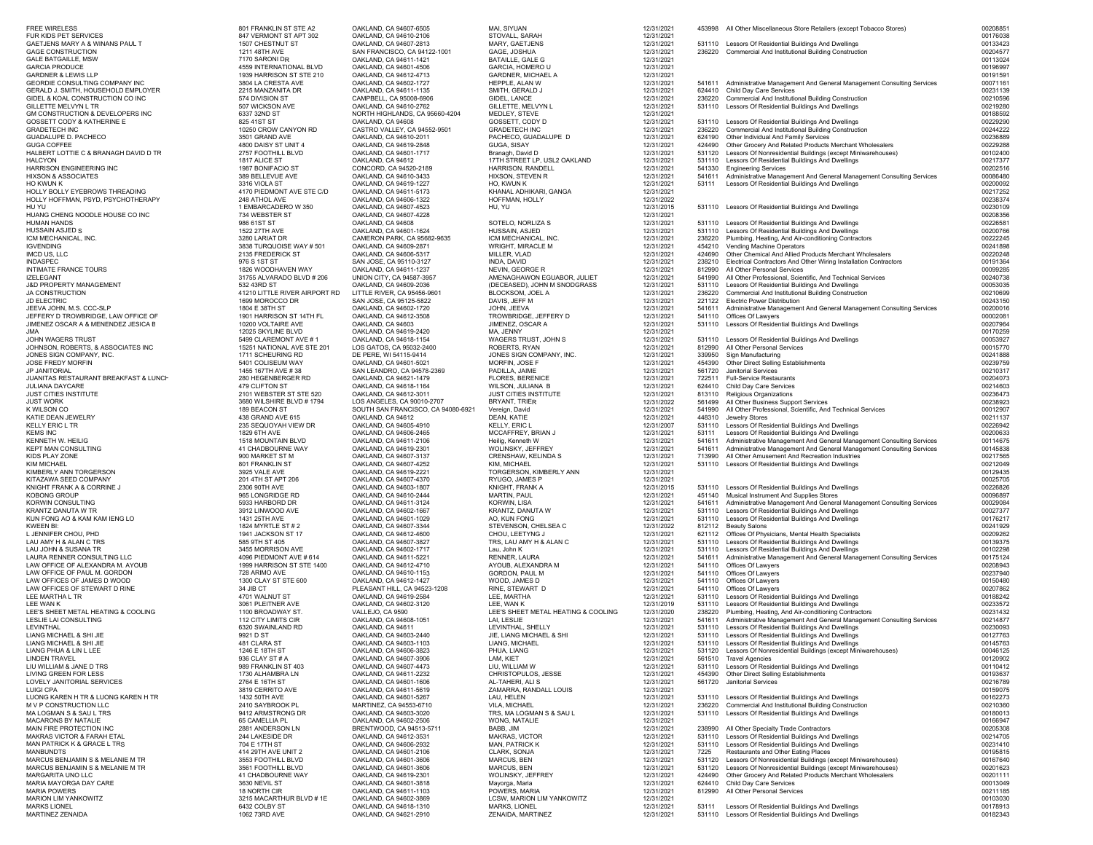| <b>FREE WIRELESS</b>                  | 801 FRANKLIN ST STE A2        | OAKLAND, CA 94607-6505                           | MAI, SIYUAN                                      | 12/31/2021               |        | 453998 All Other Miscellaneous Store Retailers (except Tobacco Stores)                                 | 0020885  |
|---------------------------------------|-------------------------------|--------------------------------------------------|--------------------------------------------------|--------------------------|--------|--------------------------------------------------------------------------------------------------------|----------|
| FUR KIDS PET SERVICES                 | 847 VERMONT ST APT 302        | OAKLAND, CA 94610-2106                           | STOVALL, SARAH                                   | 12/31/2021               |        |                                                                                                        | 00176038 |
| GAETJENS MARY A & WINANS PAUL T       | 1507 CHESTNUT ST              | OAKLAND, CA 94607-2813                           | MARY, GAETJENS                                   | 12/31/2021               |        | 531110 Lessors Of Residential Buildings And Dwellings                                                  | 00133423 |
| <b>GAGE CONSTRUCTION</b>              | 1211 48TH AVE                 | SAN FRANCISCO, CA 94122-1001                     | GAGE, JOSHUA                                     | 12/31/2021               |        | 236220 Commercial And Institutional Building Construction                                              | 00204577 |
| <b>GALE BATGAILLE, MSW</b>            | 7170 SARONI DR                | OAKLAND, CA 94611-1421                           | <b>BATAILLE, GALE G</b>                          | 12/31/2021               |        |                                                                                                        | 00113024 |
| <b>GARCIA PRODUCE</b>                 | 4559 INTERNATIONAL BLVD       | OAKLAND, CA 94601-4506                           | GARCIA, HOMERO U                                 | 12/31/2021               |        |                                                                                                        | 00196997 |
| <b>GARDNER &amp; LEWIS LLP</b>        | 1939 HARRISON ST STE 210      | OAKLAND, CA 94612-4713                           | GARDNER, MICHAEL A                               | 12/31/2021               |        |                                                                                                        | 00191591 |
| GEORDIE CONSULTING COMPANY INC        | 3804 LA CRESTA AVE            | OAKLAND, CA 94602-1727                           | HEPPLE, ALAN W                                   | 12/31/2021               |        | 541611 Administrative Management And General Management Consulting Services                            | 00071161 |
| GERALD J. SMITH, HOUSEHOLD EMPLOYER   | 2215 MANZANITA DR             | OAKLAND, CA 94611-1135                           | SMITH, GERALD J                                  | 12/31/2021               | 624410 | Child Day Care Services                                                                                | 00231139 |
| GIDEL & KOAL CONSTRUCTION CO INC      | 574 DIVISION ST               | CAMPBELL, CA 95008-6906                          | GIDEL, LANCE                                     | 12/31/2021               | 236220 | Commercial And Institutional Building Construction                                                     | 00210596 |
| GILLETTE MELVYN L TR                  | 507 WICKSON AVE               | OAKLAND, CA 94610-2762                           | GILLETTE, MELVYN L                               | 12/31/2021               |        | 531110 Lessors Of Residential Buildings And Dwellings                                                  | 00219280 |
| GM CONSTRUCTION & DEVELOPERS INC      | 6337 32ND ST                  | NORTH HIGHLANDS, CA 95660-4204                   | MEDLEY, STEVE                                    | 12/31/2021               |        |                                                                                                        | 00188592 |
| GOSSETT CODY & KATHERINE E            | 825 41ST ST                   | OAKLAND, CA 94608                                | GOSSETT, CODY D                                  | 12/31/2021               |        | 531110 Lessors Of Residential Buildings And Dwellings                                                  | 00229290 |
| <b>GRADETECH INC</b>                  | 10250 CROW CANYON RD          | CASTRO VALLEY, CA 94552-9501                     | <b>GRADETECH INC</b>                             | 12/31/2021               | 236220 | Commercial And Institutional Building Construction                                                     | 00244222 |
| GUADALUPE D. PACHECO                  | 3501 GRAND AVE                | OAKLAND, CA 94610-2011                           | PACHECO, GUADALUPE D                             | 12/31/2021               | 624190 | Other Individual And Family Services                                                                   | 00236889 |
| <b>GUGA COFFEE</b>                    | 4800 DAISY ST UNIT 4          | OAKLAND, CA 94619-2848                           | GUGA, SISAY                                      | 12/31/2021               | 424490 | Other Grocery And Related Products Merchant Wholesalers                                                | 00229288 |
|                                       |                               |                                                  |                                                  |                          |        |                                                                                                        |          |
| HALBERT LOTTIE C & BRANAGH DAVID D TR | 2757 FOOTHILL BLVD            | OAKLAND, CA 94601-1717                           | Branagh, David D<br>17TH STREET LP, USL2 OAKLAND | 12/31/2021               | 531120 | Lessors Of Nonresidential Buildings (except Miniwarehouses)                                            | 00102400 |
| <b>HALCYON</b>                        | 1817 ALICE ST                 | OAKLAND, CA 94612                                |                                                  | 12/31/2021               | 531110 | Lessors Of Residential Buildings And Dwellings                                                         | 00217377 |
| HARRISON ENGINEERING INC              | 1987 BONIFACIO ST             | CONCORD, CA 94520-2189                           | HARRISON, RANDELL                                | 12/31/2021               | 541330 | <b>Engineering Services</b>                                                                            | 00202516 |
| <b>HIXSON &amp; ASSOCIATES</b>        | 389 BELLEVUE AVE              | OAKLAND, CA 94610-3433                           | HIXSON, STEVEN R                                 | 12/31/2021               | 541611 | Administrative Management And General Management Consulting Services                                   | 00086480 |
| ho kwun k                             | 3316 VIOLA ST                 | OAKLAND, CA 94619-1227                           | HO, KWUN K                                       | 12/31/2021               | 53111  | Lessors Of Residential Buildings And Dwellings                                                         | 00200092 |
| HOLLY BOLLY EYEBROWS THREADING        | 4170 PIEDMONT AVE STE C/D     | OAKLAND, CA 94611-5173                           | KHANAL ADHIKARI, GANGA                           | 12/31/2021               |        |                                                                                                        | 00217252 |
| HOLLY HOFFMAN, PSYD, PSYCHOTHERAPY    | 248 ATHOL AVE                 | OAKLAND, CA 94606-1322                           | HOFFMAN, HOLLY                                   | 12/31/2022               |        |                                                                                                        | 00238374 |
| HU YU                                 | 1 EMBARCADERO W 350           | OAKLAND, CA 94607-4523                           | HU, YU                                           | 12/31/2015               |        | 531110 Lessors Of Residential Buildings And Dwellings                                                  | 00230109 |
| HUANG CHENG NOODLE HOUSE CO INC       | 734 WEBSTER ST                | OAKLAND, CA 94607-4228                           |                                                  | 12/31/2021               |        |                                                                                                        | 00208356 |
| <b>HUMAN HANDS</b>                    | 986 61ST ST                   | OAKLAND, CA 94608                                | SOTELO, NORLIZA S                                | 12/31/2021               |        | 531110 Lessors Of Residential Buildings And Dwellings                                                  | 00226581 |
| HUSSAIN ASJED S                       | 1522 27TH AVE                 | OAKLAND, CA 94601-1624                           | HUSSAIN, ASJED                                   | 12/31/2021               | 531110 | Lessors Of Residential Buildings And Dwellings                                                         | 00200766 |
| ICM MECHANICAL, INC.                  | 3280 LARIAT DR                | CAMERON PARK, CA 95682-9635                      | ICM MECHANICAL, INC.                             | 12/31/2021               | 238220 | Plumbing, Heating, And Air-conditioning Contractors                                                    | 00222245 |
| <b>IGVENDING</b>                      | 3838 TURQUOISE WAY #501       | OAKLAND, CA 94609-2871                           | WRIGHT, MIRACLE M                                | 12/31/2021               | 454210 | Vending Machine Operators                                                                              | 00241898 |
| IMCD US, LLC                          | 2135 FREDERICK ST             | OAKLAND, CA 94606-5317                           | MILLER, VLAD                                     | 12/31/2021               | 424690 | Other Chemical And Allied Products Merchant Wholesalers                                                | 00220248 |
| INDASPEC                              | 976 S 1ST ST                  | SAN JOSE, CA 95110-3127                          | INDA, DAVID                                      | 12/31/2021               | 238210 | Electrical Contractors And Other Wiring Installation Contractors                                       | 00191364 |
| INTIMATE FRANCE TOURS                 | 1826 WOODHAVEN WAY            | OAKLAND, CA 94611-1237                           | NEVIN, GEORGE R                                  | 12/31/2021               | 812990 | All Other Personal Services                                                                            | 00099285 |
| <b>IZELEGANT</b>                      | 31755 ALVARADO BLVD # 206     | UNION CITY, CA 94587-3957                        | AMENAGHAWON EGUABOR, JULIET                      | 12/31/2021               | 541990 | All Other Professional, Scientific, And Technical Services                                             | 00240738 |
| <b>J&amp;D PROPERTY MANAGEMENT</b>    | 532 43RD ST                   | OAKLAND, CA 94609-2036                           | (DECEASED), JOHN M SNODGRASS                     | 12/31/2021               | 531110 | Lessors Of Residential Buildings And Dwellings                                                         | 00053035 |
|                                       | 41210 LITTLE RIVER AIRPORT RD | LITTLE RIVER, CA 95456-9601                      | BLOCKSOM, JOEL A                                 | 12/31/2021               |        | Commercial And Institutional Building Construction                                                     | 00210699 |
| <b>JA CONSTRUCTION</b>                | 1699 MOROCCO DR               | SAN JOSE, CA 95125-5822                          | DAVIS, JEFF M                                    |                          | 236220 | <b>Electric Power Distribution</b>                                                                     |          |
| <b>JD ELECTRIC</b>                    |                               |                                                  |                                                  | 12/31/2021               | 221122 |                                                                                                        | 00243150 |
| JEEVA JOHN, M.S. CCC-SLP              | 1804 E 38TH ST                | OAKLAND, CA 94602-1720                           | JOHN, JEEVA                                      | 12/31/2021               | 541611 | Administrative Management And General Management Consulting Services                                   | 00200016 |
| JEFFERY D TROWBRIDGE, LAW OFFICE OF   | 1901 HARRISON ST 14TH FL      | OAKLAND, CA 94612-3508                           | TROWBRIDGE, JEFFERY D                            | 12/31/2021               | 541110 | Offices Of Lawyers                                                                                     | 00002081 |
| JIMENEZ OSCAR A & MENENDEZ JESICA B   | 10200 VOLTAIRE AVE            | OAKLAND, CA 94603                                | JIMENEZ, OSCAR A                                 | 12/31/2021               | 531110 | Lessors Of Residential Buildings And Dwellings                                                         | 00207964 |
| AMI.                                  | 12025 SKYLINE BLVD            | OAKLAND, CA 94619-2420                           | MA, JENNY                                        | 12/31/2021               |        |                                                                                                        | 00170259 |
| JOHN WAGERS TRUST                     | 5499 CLAREMONT AVE #1         | OAKLAND, CA 94618-1154                           | WAGERS TRUST, JOHN S                             | 12/31/2021               |        | 531110 Lessors Of Residential Buildings And Dwellings                                                  | 00053927 |
| JOHNSON, ROBERTS, & ASSOCIATES INC    | 15251 NATIONAL AVE STE 201    | LOS GATOS, CA 95032-2400                         | ROBERTS, RYAN                                    | 12/31/2021               | 812990 | All Other Personal Services                                                                            | 00015770 |
| JONES SIGN COMPANY, INC.              | 1711 SCHEURING RD             | DE PERE, WI 54115-9414                           | JONES SIGN COMPANY, INC.                         | 12/31/2021               | 339950 | Sign Manufacturing                                                                                     | 00241888 |
| JOSE FREDY MORFIN                     | 5401 COLISEUM WAY             | OAKLAND, CA 94601-5021                           | MORFIN, JOSE F                                   | 12/31/2021               | 454390 | Other Direct Selling Establishments                                                                    | 00239759 |
| JP JANITORIAL                         | 1455 167TH AVE #38            | SAN LEANDRO, CA 94578-2369                       | PADILLA, JAIME                                   | 12/31/2021               | 561720 | Janitorial Services                                                                                    | 00210317 |
| JUANITAS RESTAURANT BREAKFAST & LUNCH | 280 HEGENBERGER RD            | OAKLAND, CA 94621-1479                           | FLORES, BERENICE                                 | 12/31/2021               |        | 722511 Full-Service Restaurants                                                                        | 00204073 |
| JULIANA DAYCARE                       | 479 CLIFTON ST                | OAKLAND, CA 94618-1164                           | WILSON, JULIANA B                                | 12/31/2021               | 624410 | Child Day Care Services                                                                                | 00214603 |
| JUST CITIES INSTITUTE                 | 2101 WEBSTER ST STE 520       | OAKLAND, CA 94612-3011                           | JUST CITIES INSTITUTE                            | 12/31/2021               | 813110 | Religious Organizations                                                                                | 00236473 |
| <b>JUST WORK</b>                      | 3680 WILSHIRE BLVD # 1794     | LOS ANGELES, CA 90010-2707                       | <b>BRYANT, TRIER</b>                             | 12/31/2022               | 561499 | All Other Business Support Services                                                                    | 00238923 |
| K WILSON CO                           | 189 BEACON ST                 | SOUTH SAN FRANCISCO, CA 94080-6921               | Vereign, David                                   | 12/31/2021               | 541990 | All Other Professional, Scientific, And Technical Services                                             | 00012907 |
| KATIE DEAN JEWELRY                    | 438 GRAND AVE 615             | OAKLAND, CA 94612                                | DEAN, KATIE                                      | 12/31/2021               | 448310 | Jewelry Stores                                                                                         | 00211137 |
| <b>KELLY ERIC L TR</b>                | 235 SEQUOYAH VIEW DR          | OAKLAND, CA 94605-4910                           | KELLY, ERIC L                                    | 12/31/2007               | 531110 | Lessors Of Residential Buildings And Dwellings                                                         | 00226942 |
| <b>KEMS INC</b>                       | 1829 6TH AVE                  | OAKLAND, CA 94606-2465                           | MCCAFFREY, BRIAN J                               | 12/31/2021               | 53111  | Lessors Of Residential Buildings And Dwellings                                                         | 00200633 |
| KENNETH W. HEILIG                     | 1518 MOUNTAIN BLVD            | OAKLAND, CA 94611-2106                           | Heilig, Kenneth W                                | 12/31/2021               | 541611 | Administrative Management And General Management Consulting Services                                   | 00114675 |
| <b>KEPT MAN CONSULTING</b>            | 41 CHADBOURNE WAY             | OAKLAND, CA 94619-2301                           | WOLINSKY, JEFFREY                                | 12/31/2021               | 541611 | Administrative Management And General Management Consulting Services                                   | 00145838 |
|                                       | 900 MARKET ST M               |                                                  |                                                  |                          | 713990 |                                                                                                        | 00217565 |
| KIDS PLAY ZONE<br><b>KIM MICHAEL</b>  | 801 FRANKLIN ST               | OAKLAND, CA 94607-3137<br>OAKLAND, CA 94607-4252 | CRENSHAW, KELINDA S<br>KIM, MICHAEL              | 12/31/2021<br>12/31/2021 |        | All Other Amusement And Recreation Industries<br>531110 Lessors Of Residential Buildings And Dwellings | 00212049 |
|                                       |                               |                                                  |                                                  |                          |        |                                                                                                        |          |
| KIMBERLY ANN TORGERSON                | 3925 VALE AVE                 | OAKLAND, CA 94619-2221                           | TORGERSON, KIMBERLY ANN                          | 12/31/2021               |        |                                                                                                        | 00129435 |
| KITAZAWA SEED COMPANY                 | 201 4TH ST APT 206            | OAKLAND, CA 94607-4370                           | RYUGO, JAMES P                                   | 12/31/2021               |        |                                                                                                        | 00025705 |
| KNIGHT FRANK A & CORRINE J            | 2306 90TH AVE                 | OAKLAND, CA 94603-1807                           | KNIGHT, FRANK A                                  | 12/31/2015               |        | 531110 Lessors Of Residential Buildings And Dwellings                                                  | 00226826 |
| KOBONG GROUP                          | 965 LONGRIDGE RD              | OAKLAND, CA 94610-2444                           | MARTIN, PAUL                                     | 12/31/2021               | 451140 | Musical Instrument And Supplies Stores                                                                 | 00096897 |
| KORWIN CONSULTING                     | 5933 HARBORD DR               | OAKLAND, CA 94611-3124                           | <b>KORWIN, LISA</b>                              | 12/31/2021               |        | 541611 Administrative Management And General Management Consulting Services                            | 00029084 |
| KRANTZ DANUTA W TR                    | 3912 LINWOOD AVE              | OAKLAND, CA 94602-1667                           | KRANTZ, DANUTA W                                 | 12/31/2021               |        | 531110 Lessors Of Residential Buildings And Dwellings                                                  | 00027377 |
| KUN FONG AO & KAM KAM IENG LO         | 1431 25TH AVE                 | OAKLAND, CA 94601-1029                           | AO, KUN FONG                                     | 12/31/2021               |        | 531110 Lessors Of Residential Buildings And Dwellings                                                  | 00176217 |
| <b>KWEEN BI:</b>                      | 1824 MYRTLE ST # 2            | OAKLAND, CA 94607-3344                           | STEVENSON, CHELSEA C                             | 12/31/2022               | 812112 | <b>Beauty Salons</b>                                                                                   | 00241929 |
| L JENNIFER CHOU, PHD                  | 1941 JACKSON ST 17            | OAKLAND, CA 94612-4600                           | CHOU, LEETYNG J                                  | 12/31/2021               | 621112 | Offices Of Physicians, Mental Health Specialists                                                       | 00209262 |
| LAU AMY H & ALAN C TRS                | 585 9TH ST 405                | OAKLAND, CA 94607-3827                           | TRS, LAU AMY H & ALAN C                          | 12/31/2021               | 531110 | Lessors Of Residential Buildings And Dwellings                                                         | 00139375 |
| LAU JOHN & SUSANA TR                  | 3455 MORRISON AVE             | OAKLAND, CA 94602-1717                           | Lau, John K                                      | 12/31/2021               | 531110 | Lessors Of Residential Buildings And Dwellings                                                         | 00102298 |
| LAURA RENNER CONSULTING LLC           | 4096 PIEDMONT AVE # 614       | OAKLAND, CA 94611-5221                           | RENNER, LAURA                                    | 12/31/2021               | 541611 | Administrative Management And General Management Consulting Services                                   | 00175124 |
| LAW OFFICE OF ALEXANDRA M. AYOUB      | 1999 HARRISON ST STE 1400     | OAKLAND, CA 94612-4710                           | AYOUB, ALEXANDRA M                               | 12/31/2021               | 541110 | Offices Of Lawyers                                                                                     | 00208943 |
| LAW OFFICE OF PAUL M. GORDON          | 728 ARIMO AVE                 | OAKLAND, CA 94610-1153                           | GORDON, PAUL M                                   | 12/31/2021               | 541110 | Offices Of Lawyers                                                                                     | 00237940 |
| LAW OFFICES OF JAMES D WOOD           | 1300 CLAY ST STE 600          | OAKLAND, CA 94612-1427                           | WOOD, JAMES D                                    | 12/31/2021               | 541110 | Offices Of Lawyers                                                                                     | 00150480 |
| LAW OFFICES OF STEWART D RINE         | 34 JIB CT                     | PLEASANT HILL, CA 94523-1208                     | RINE, STEWART D                                  | 12/31/2021               | 541110 | Offices Of Lawyers                                                                                     | 00207862 |
| LEE MARTHA L TR                       | 4701 WALNUT ST                | OAKLAND, CA 94619-2584                           | LEE, MARTHA                                      | 12/31/2021               | 531110 | Lessors Of Residential Buildings And Dwellings                                                         | 00188242 |
| LEE WAN K                             | 3061 PLEITNER AVE             | OAKLAND, CA 94602-3120                           | LEE, WAN K                                       | 12/31/2019               | 531110 | Lessors Of Residential Buildings And Dwellings                                                         | 00233572 |
| LEE'S SHEET METAL HEATING & COOLING   | 1100 BROADWAY ST.             | VALLEJO, CA 9590                                 | LEE'S SHEET METAL HEATING & COOLING              | 12/31/2020               | 238220 | Plumbing, Heating, And Air-conditioning Contractors                                                    | 00231432 |
| LESLIE LAI CONSULTING                 | 112 CITY LIMITS CIR           | OAKLAND, CA 94608-1051                           | LAI, LESLIE                                      | 12/31/2021               | 541611 | Administrative Management And General Management Consulting Services                                   | 00214877 |
| LEVINTHAL                             | 6320 SWAINLAND RD             | OAKLAND, CA 94611                                | LEVINTHAL, SHELLY                                | 12/31/2021               |        | 531110 Lessors Of Residential Buildings And Dwellings                                                  | 00230093 |
| LIANG MICHAEL & SHI JIE               | 9921 D ST                     | OAKLAND, CA 94603-2440                           | JIE, LIANG MICHAEL & SHI                         | 12/31/2021               |        | 531110 Lessors Of Residential Buildings And Dwellings                                                  | 00127763 |
| LIANG MICHAEL & SHI JIE               | 481 CLARA ST                  | OAKLAND, CA 94603-1103                           | LIANG, MICHAEL                                   | 12/31/2021               |        | 531110 Lessors Of Residential Buildings And Dwellings                                                  | 00145763 |
| LIANG PHUA & LIN L LEE                | 1246 E 18TH ST                | OAKLAND, CA 94606-3823                           | PHUA, LIANG                                      | 12/31/2021               |        | 531120 Lessors Of Nonresidential Buildings (except Miniwarehouses)                                     | 00046125 |
| <b>LINDEN TRAVEL</b>                  | 936 CLAY ST # A               | OAKLAND, CA 94607-3906                           | LAM, KIET                                        | 12/31/2021               |        | 561510 Travel Agencies                                                                                 | 00120902 |
| LIU WILLIAM & JANE D TRS              | 989 FRANKLIN ST 403           | OAKLAND, CA 94607-4473                           | LIU, WILLIAM W                                   | 12/31/2021               | 531110 | Lessors Of Residential Buildings And Dwellings                                                         | 00110412 |
| LIVING GREEN FOR LESS                 | 1730 ALHAMBRA LN              | OAKLAND, CA 94611-2232                           | CHRISTOPULOS, JESSE                              | 12/31/2021               | 454390 | Other Direct Selling Establishments                                                                    | 00193637 |
| LOVELY JANITORIAL SERVICES            | 2764 E 16TH ST                | OAKLAND, CA 94601-1606                           | AL-TAHERI, ALI S                                 | 12/31/2021               | 561720 | Janitorial Services                                                                                    | 00216789 |
| <b>LUIGI CPA</b>                      | 3819 CERRITO AVE              | OAKLAND, CA 94611-5619                           | ZAMARRA, RANDALL LOUIS                           | 12/31/2021               |        |                                                                                                        | 00159075 |
| LUONG KAREN H TR & LUONG KAREN H TR   | 1432 50TH AVE                 | OAKLAND, CA 94601-5267                           | LAU, HELEN                                       | 12/31/2021               |        | 531110 Lessors Of Residential Buildings And Dwellings                                                  | 00162273 |
| M V P CONSTRUCTION LLC                | 2410 SAYBROOK PL              | MARTINEZ, CA 94553-6710                          | VILA, MICHAEL                                    | 12/31/2021               | 236220 | Commercial And Institutional Building Construction                                                     | 00210360 |
| MA LOGMAN S & SAU L TRS               | 9412 ARMSTRONG DR             | OAKLAND, CA 94603-3020                           | TRS, MA LOGMAN S & SAU L                         | 12/31/2021               |        | 531110 Lessors Of Residential Buildings And Dwellings                                                  | 00180013 |
| MACARONS BY NATALIE                   | 65 CAMELLIA PL                | OAKLAND, CA 94602-2506                           | WONG, NATALIE                                    |                          |        |                                                                                                        | 00166947 |
| MAIN FIRE PROTECTION INC              |                               |                                                  |                                                  | 12/31/2021               |        |                                                                                                        |          |
|                                       | 2881 ANDERSON LN              | BRENTWOOD, CA 94513-5711                         | BABB, JIM                                        | 12/31/2021               |        | 238990 All Other Specialty Trade Contractors                                                           | 00205308 |
| MAKRAS VICTOR & FARAH ETAL            | 244 LAKESIDE DR               | OAKLAND, CA 94612-3531                           | MAKRAS, VICTOR                                   | 12/31/2021               |        | 531110 Lessors Of Residential Buildings And Dwellings                                                  | 00214705 |
| MAN PATRICK K & GRACE L TRS           | 704 E 17TH ST                 | OAKLAND, CA 94606-2932                           | MAN, PATRICK K                                   | 12/31/2021               |        | 531110 Lessors Of Residential Buildings And Dwellings                                                  | 00231410 |
| <b>MANBUNDTS</b>                      | 414 29TH AVE UNIT 2           | OAKLAND, CA 94601-2106                           | CLARK, SONJA                                     | 12/31/2021               | 7225   | Restaurants and Other Eating Places                                                                    | 00195815 |
| MARCUS BENJAMIN S & MELANIE M TR      | 3553 FOOTHILL BLVD            | OAKLAND, CA 94601-3606                           | MARCUS, BEN                                      | 12/31/2021               |        | 531120 Lessors Of Nonresidential Buildings (except Miniwarehouses)                                     | 00167640 |
| MARCUS BENJAMIN S & MELANIE M TR      | 3561 FOOTHILL BLVD            | OAKLAND, CA 94601-3606                           | MARCUS, BEN                                      | 12/31/2021               |        | 531120 Lessors Of Nonresidential Buildings (except Miniwarehouses)                                     | 00201623 |
| MARGARITA UNO LLC                     | 41 CHADBOURNE WAY             | OAKLAND, CA 94619-2301                           | WOLINSKY, JEFFREY                                | 12/31/2021               | 424490 | Other Grocery And Related Products Merchant Wholesalers                                                | 00201111 |
| MARIA MAYORGA DAY CARE                | 3630 NEVIL ST                 | OAKLAND, CA 94601-3818                           | Mayorga, Maria                                   | 12/31/2021               | 624410 | Child Day Care Services                                                                                | 00013049 |
| <b>MARIA POWERS</b>                   | 18 NORTH CIR                  | OAKLAND, CA 94611-1103                           | POWERS, MARIA                                    | 12/31/2021               | 812990 | All Other Personal Services                                                                            | 00211185 |
| <b>MARION LIM YANKOWITZ</b>           | 3215 MACARTHUR BLVD #1E       | OAKLAND, CA 94602-3869                           | LCSW, MARION LIM YANKOWITZ                       | 12/31/2021               |        |                                                                                                        | 00103030 |
| <b>MARKS LIONEL</b>                   | 6432 COLBY ST                 | OAKLAND, CA 94618-1310                           | MARKS. LIONEL                                    | 12/31/2021               | 53111  | Lessors Of Residential Buildings And Dwellings                                                         | 00178913 |
| MARTINEZ ZENAIDA                      | 1062 73RD AVE                 | OAKLAND, CA 94621-2910                           | ZENAIDA, MARTINEZ                                | 12/31/2021               |        | 531110 Lessors Of Residential Buildings And Dwellings                                                  | 00182343 |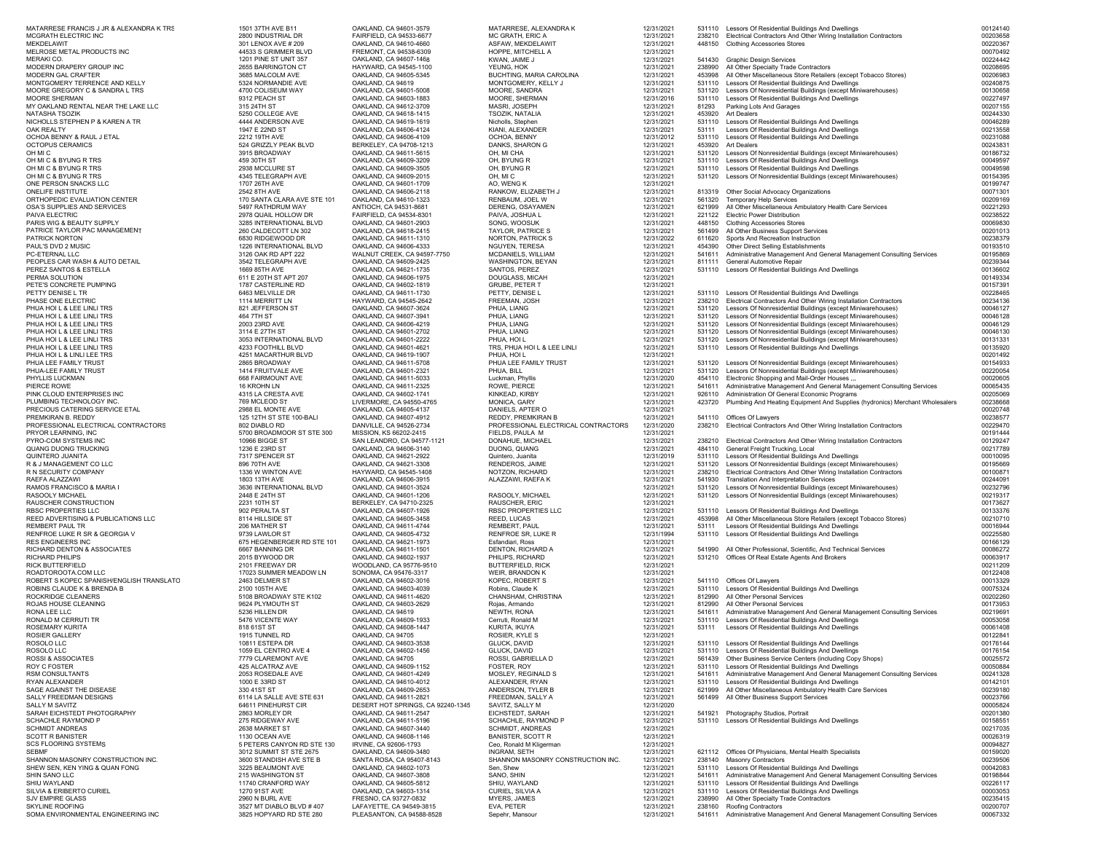| MATARRESE FRANCIS J JR & ALEXANDRA K TRS                                                             | 1501 37TH AVE B11                                   | OAKLAND, CA 94601-3579                                | MATARRESE, ALEXANDRA K                | 12/31/2021               |                  | 531110 Lessors Of Residential Buildings And Dwellings                                                                                | 00124140             |
|------------------------------------------------------------------------------------------------------|-----------------------------------------------------|-------------------------------------------------------|---------------------------------------|--------------------------|------------------|--------------------------------------------------------------------------------------------------------------------------------------|----------------------|
| MCGRATH ELECTRIC INC                                                                                 | 2800 INDUSTRIAL DR                                  | FAIRFIELD, CA 94533-6677                              | MC GRATH, ERIC A                      | 12/31/2021               |                  | 238210 Electrical Contractors And Other Wiring Installation Contractors                                                              | 00203658             |
| MEKDELAWIT                                                                                           | 301 LENOX AVE # 209                                 | OAKLAND, CA 94610-4660                                | ASFAW, MEKDELAWIT                     | 12/31/2021               | 448150           | <b>Clothing Accessories Stores</b>                                                                                                   | 00220367             |
| MELROSE METAL PRODUCTS INC                                                                           | 44533 S GRIMMER BLVD                                | FREMONT, CA 94538-6309                                | HOPPE, MITCHELL A                     | 12/31/2021               |                  |                                                                                                                                      | 00070492             |
| MERAKI CO.                                                                                           | 1201 PINE ST UNIT 357                               | OAKLAND, CA 94607-1468                                | KWAN, JAIME J                         | 12/31/2021               |                  | 541430 Graphic Design Services                                                                                                       | 00224442             |
| MODERN DRAPERY GROUP INC                                                                             | 2655 BARRINGTON CT                                  | HAYWARD, CA 94545-1100                                | YEUNG, HOK                            | 12/31/2021               | 238990           | All Other Specialty Trade Contractors                                                                                                | 00208695             |
| MODERN GAL CRAFTER                                                                                   | 3685 MALCOLM AVE                                    | OAKLAND, CA 94605-5345                                | BUCHTING, MARIA CAROLINA              | 12/31/2021               | 453998           | All Other Miscellaneous Store Retailers (except Tobacco Stores)                                                                      | 00206983             |
| MONTGOMERY TERRENCE AND KELLY                                                                        | 5324 NORMANDIE AVE                                  | OAKLAND, CA 94619                                     | MONTGOMERY, KELLY J                   | 12/31/2021               |                  | 531110 Lessors Of Residential Buildings And Dwellings                                                                                | 00240875             |
| MOORE GREGORY C & SANDRA L TRS                                                                       | 4700 COLISEUM WAY                                   | OAKLAND, CA 94601-5008                                | MOORE, SANDRA                         | 12/31/2021               |                  | 531120 Lessors Of Nonresidential Buildings (except Miniwarehouses)                                                                   | 00130658             |
| MOORE SHERMAN                                                                                        | 9312 PEACH ST                                       | OAKLAND, CA 94603-1883                                | MOORE, SHERMAN                        | 12/31/2016               |                  | 531110 Lessors Of Residential Buildings And Dwellings                                                                                | 00227497             |
| MY OAKLAND RENTAL NEAR THE LAKE LLC                                                                  | 315 24TH ST                                         | OAKLAND, CA 94612-3709                                | MASRI, JOSEPH                         | 12/31/2021               | 81293            | Parking Lots And Garages                                                                                                             | 00207155             |
| NATASHA TSOZIK                                                                                       | 5250 COLLEGE AVE                                    | OAKLAND, CA 94618-1415                                | TSOZIK, NATALIA                       | 12/31/2021               | 453920           | <b>Art Dealers</b>                                                                                                                   | 00244330             |
| NICHOLLS STEPHEN P & KAREN A TR                                                                      | 4444 ANDERSON AVE                                   | OAKLAND, CA 94619-1619                                | Nicholls, Stephen                     | 12/31/2021               | 531110           | Lessors Of Residential Buildings And Dwellings                                                                                       | 00046289             |
| OAK REALTY                                                                                           | 1947 E 22ND ST                                      | OAKLAND, CA 94606-4124                                | KIANI, ALEXANDER                      | 12/31/2021               | 53111            | Lessors Of Residential Buildings And Dwellings                                                                                       | 00213558             |
| OCHOA BENNY & RAUL J ETAL                                                                            | 2212 19TH AVE                                       | OAKLAND, CA 94606-4109                                | OCHOA, BENNY                          | 12/31/2012               | 531110           | Lessors Of Residential Buildings And Dwellings                                                                                       | 00231088             |
| OCTOPUS CERAMICS                                                                                     | 524 GRIZZLY PEAK BLVD                               | BERKELEY, CA 94708-1213                               | DANKS, SHARON G                       | 12/31/2021               | 453920           | <b>Art Dealers</b>                                                                                                                   | 00243831             |
| OH MI C                                                                                              | 3915 BROADWAY                                       | OAKLAND, CA 94611-5615                                | OH, MI CHA                            | 12/31/2021               | 531120           | Lessors Of Nonresidential Buildings (except Miniwarehouses)                                                                          | 00186732             |
| OH MI C & BYUNG R TRS                                                                                | 459 30TH ST                                         | OAKLAND, CA 94609-3209                                | OH, BYUNG R                           | 12/31/2021               | 531110           | Lessors Of Residential Buildings And Dwellings                                                                                       | 00049597             |
| OH MI C & BYUNG R TRS                                                                                | 2938 MCCLURE ST                                     | OAKLAND, CA 94609-3505                                | OH, BYUNG R                           | 12/31/2021               | 531110           | Lessors Of Residential Buildings And Dwellings                                                                                       | 00049598             |
| OH MI C & BYUNG R TRS<br>ONE PERSON SNACKS LLC                                                       | 4345 TELEGRAPH AVE                                  | OAKLAND, CA 94609-2015<br>OAKLAND, CA 94601-1709      | OH, MIC<br>AO, WENG K                 | 12/31/2021<br>12/31/2021 | 531120           | Lessors Of Nonresidential Buildings (except Miniwarehouses)                                                                          | 00154395<br>00199747 |
| ONELIFE INSTITUTE                                                                                    | 1707 26TH AVE<br>2542 8TH AVE                       | OAKLAND, CA 94606-2118                                | RANKOW, ELIZABETH J                   | 12/31/2021               |                  | 813319 Other Social Advocacy Organizations                                                                                           | 00071301             |
| ORTHOPEDIC EVALUATION CENTER                                                                         | 170 SANTA CLARA AVE STE 101                         | OAKLAND, CA 94610-1323                                | RENBAUM, JOEL W                       | 12/31/2021               | 561320           | Temporary Help Services                                                                                                              | 00209169             |
| OSA'S SUPPLIES AND SERVICES                                                                          | 5497 RATHDRUM WAY                                   | ANTIOCH, CA 94531-8681                                | DERENG, OSAYAMEN                      | 12/31/2021               | 621999           | All Other Miscellaneous Ambulatory Health Care Services                                                                              | 00221293             |
| PAIVA ELECTRIC                                                                                       | 2978 QUAIL HOLLOW DR                                | FAIRFIELD, CA 94534-8301                              | PAIVA, JOSHUA L                       | 12/31/2021               | 221122           | <b>Electric Power Distribution</b>                                                                                                   | 00238522             |
| PARIS WIG & BEAUTY SUPPLY                                                                            | 3285 INTERNATIONAL BLVD                             | OAKLAND, CA 94601-2903                                | SONG, WOOSUK                          | 12/31/2021               | 448150           | <b>Clothing Accessories Stores</b>                                                                                                   | 00069830             |
| PATRICE TAYLOR PAC MANAGEMENT                                                                        | 260 CALDECOTT LN 302                                | OAKLAND, CA 94618-2415                                | TAYLOR, PATRICE S                     | 12/31/2021               |                  | 561499 All Other Business Support Services                                                                                           | 00201013             |
| PATRICK NORTON                                                                                       | 6830 RIDGEWOOD DR                                   | OAKLAND, CA 94611-1310                                | NORTON, PATRICK S                     | 12/31/2022               | 611620           | Sports And Recreation Instruction                                                                                                    | 00238379             |
| PAUL'S DVD 2 MUSIC                                                                                   | 1226 INTERNATIONAL BLVD                             | OAKLAND, CA 94606-4333                                | NGUYEN, TERESA                        | 12/31/2021               | 454390           | Other Direct Selling Establishments                                                                                                  | 00193510             |
| PC-ETERNAL LLC                                                                                       | 3126 OAK RD APT 222                                 | WALNUT CREEK, CA 94597-7750                           | MCDANIELS, WILLIAM                    | 12/31/2021               | 541611           | Administrative Management And General Management Consulting Services                                                                 | 00195869             |
| PEOPLES CAR WASH & AUTO DETAIL                                                                       | 3542 TELEGRAPH AVE                                  | OAKLAND, CA 94609-2425                                | WASHINGTON, BEYAN                     | 12/31/2021               | 811111           | General Automotive Repair                                                                                                            | 00239344             |
| PEREZ SANTOS & ESTELLA                                                                               | 1669 85TH AVE                                       | OAKLAND, CA 94621-1735                                | SANTOS, PEREZ                         | 12/31/2021               |                  | 531110 Lessors Of Residential Buildings And Dwellings                                                                                | 00136602             |
| PERMA SOLUTION                                                                                       | 611 E 20TH ST APT 207                               | OAKLAND, CA 94606-1975                                | DOUGLASS, MICAH                       | 12/31/2021               |                  |                                                                                                                                      | 00149334             |
| PETE'S CONCRETE PUMPING                                                                              | 1787 CASTERLINE RD                                  | OAKLAND, CA 94602-1819                                | <b>GRUBE, PETER T</b>                 | 12/31/2021               |                  |                                                                                                                                      | 00157391             |
| PETTY DENISE L TR                                                                                    | 6463 MELVILLE DR                                    | OAKLAND, CA 94611-1730                                | PETTY, DENISE L                       | 12/31/2021               |                  | 531110 Lessors Of Residential Buildings And Dwellings                                                                                | 00228465             |
| PHASE ONE ELECTRIC                                                                                   | 1114 MERRITT LN                                     | HAYWARD, CA 94545-2642                                | FREEMAN, JOSH                         | 12/31/2021               | 238210           | Electrical Contractors And Other Wiring Installation Contractors                                                                     | 00234136             |
| PHUA HOI L & LEE LINLI TRS                                                                           | 821 JEFFERSON ST                                    | OAKLAND, CA 94607-3624                                | PHUA, LIANG                           | 12/31/2021               | 531120           | Lessors Of Nonresidential Buildings (except Miniwarehouses)                                                                          | 00046127             |
| PHUA HOI L & LEE LINLI TRS                                                                           | 464 7TH ST                                          | OAKLAND, CA 94607-3941                                | PHUA, LIANG                           | 12/31/2021               | 531120           | Lessors Of Nonresidential Buildings (except Miniwarehouses)                                                                          | 00046128             |
| PHUA HOI L & LEE LINLI TRS                                                                           | 2003 23RD AVE                                       | OAKLAND, CA 94606-4219                                | PHUA, LIANG                           | 12/31/2021               | 531120           | Lessors Of Nonresidential Buildings (except Miniwarehouses)                                                                          | 00046129             |
| PHUA HOI L & LEE LINLI TRS                                                                           | 3114 E 27TH ST                                      | OAKLAND, CA 94601-2702                                | PHUA, LIANG                           | 12/31/2021               | 531120           | Lessors Of Nonresidential Buildings (except Miniwarehouses)                                                                          | 00046130             |
| PHUA HOI L & LEE LINLI TRS                                                                           | 3053 INTERNATIONAL BLVD                             | OAKLAND, CA 94601-2222                                | PHUA, HOI L                           | 12/31/2021               | 531120           | Lessors Of Nonresidential Buildings (except Miniwarehouses)                                                                          | 00131331             |
| PHUA HOI L & LEE LINLI TRS                                                                           | 4233 FOOTHILL BLVD                                  | OAKLAND, CA 94601-4621                                | TRS, PHUA HOI L & LEE LINLI           | 12/31/2021               |                  | 531110 Lessors Of Residential Buildings And Dwellings                                                                                | 00135920             |
| PHUA HOI L & LINLI LEE TRS                                                                           | 4251 MACARTHUR BLVD                                 | OAKLAND, CA 94619-1907                                | PHUA, HOI L                           | 12/31/2021               |                  |                                                                                                                                      | 00201492             |
| PHUA LEE FAMILY TRUST                                                                                | 2865 BROADWAY                                       | OAKLAND, CA 94611-5708                                | PHUA LEE FAMILY TRUST                 | 12/31/2021               |                  | 531120 Lessors Of Nonresidential Buildings (except Miniwarehouses)                                                                   | 00154933             |
| PHUA-LEE FAMILY TRUST                                                                                | 1414 FRUITVALE AVE                                  | OAKLAND, CA 94601-2321                                | PHUA, BILL                            | 12/31/2021               | 531120           | Lessors Of Nonresidential Buildings (except Miniwarehouses)                                                                          | 00220054             |
| PHYLLIS LUCKMAN                                                                                      | 668 FAIRMOUNT AVE                                   | OAKLAND, CA 94611-5033                                | Luckman, Phyllis                      | 12/31/2020               | 454110           | Electronic Shopping and Mail-Order Houses ,,,                                                                                        | 00020605             |
| PIERCE ROWE                                                                                          | 16 KROHN LN                                         | OAKLAND, CA 94611-2325                                | ROWE, PIERCE                          | 12/31/2021               |                  | 541611 Administrative Management And General Management Consulting Services                                                          | 00065435             |
| PINK CLOUD ENTERPRISES INC                                                                           | 4315 LA CRESTA AVE                                  | OAKLAND, CA 94602-1741                                | KINKEAD, KIRBY                        | 12/31/2021               |                  | 926110 Administration Of General Economic Programs                                                                                   | 00205069             |
| PLUMBING TECHNOLOGY INC.                                                                             | 769 MCLEOD ST                                       | LIVERMORE, CA 94550-4765                              | MONICA, GARY                          | 12/31/2021               | 423720           | Plumbing And Heating Equipment And Supplies (hydronics) Merchant Wholesalers                                                         | 00238668             |
| PRECIOUS CATERING SERVICE ETAL                                                                       | 2988 EL MONTE AVE                                   | OAKLAND, CA 94605-4137                                | DANIELS, APTER O                      | 12/31/2021               |                  |                                                                                                                                      | 00020748             |
| PREMKIRAN B. REDDY                                                                                   | 125 12TH ST STE 100-BALI                            | OAKLAND, CA 94607-4912                                | REDDY, PREMKIRAN B                    | 12/31/2021               |                  | 541110 Offices Of Lawyers                                                                                                            | 00238577             |
| PROFESSIONAL ELECTRICAL CONTRACTORS                                                                  | 802 DIABLO RD                                       | DANVILLE, CA 94526-2734                               | PROFESSIONAL ELECTRICAL CONTRACTORS   | 12/31/2020               |                  | 238210 Electrical Contractors And Other Wiring Installation Contractors                                                              | 00229470             |
| PRYOR LEARNING, INC                                                                                  | 5700 BROADMOOR ST STE 300                           | MISSION, KS 66202-2415                                | FIELDS, PAULA M                       | 12/31/2021               |                  |                                                                                                                                      | 00191444             |
| PYRO-COM SYSTEMS INC                                                                                 | 10966 BIGGE ST                                      | SAN LEANDRO, CA 94577-1121                            | DONAHUE, MICHAEL                      | 12/31/2021               | 238210           | Electrical Contractors And Other Wiring Installation Contractors                                                                     | 00129247             |
| QUANG DUONG TRUCKING                                                                                 | 1236 E 23RD ST                                      | OAKLAND, CA 94606-3140                                | DUONG, QUANG                          | 12/31/2021               | 484110           | General Freight Trucking, Local                                                                                                      | 00217789             |
| QUINTERO JUANITA                                                                                     | 7317 SPENCER ST                                     | OAKLAND, CA 94621-2922                                | Quintero, Juanita                     | 12/31/2019               | 531110           | Lessors Of Residential Buildings And Dwellings                                                                                       | 00010095             |
| R & J MANAGEMENT CO LLC                                                                              | 896 70TH AVE                                        | OAKLAND, CA 94621-3308                                | RENDEROS, JAIME                       | 12/31/2021               | 531120           | Lessors Of Nonresidential Buildings (except Miniwarehouses)                                                                          | 00195669             |
| R N SECURITY COMPANY                                                                                 | 1336 W WINTON AVE                                   | HAYWARD, CA 94545-1408                                | NOTZON, RICHARD                       | 12/31/2021               | 238210           | Electrical Contractors And Other Wiring Installation Contractors                                                                     | 00100871             |
| RAEFA ALAZZAWI                                                                                       | 1803 13TH AVE                                       | OAKLAND, CA 94606-3915                                | ALAZZAWI, RAEFA K                     | 12/31/2021               | 541930           | Translation And Interpretation Services                                                                                              | 00244091             |
| RAMOS FRANCISCO & MARIA I                                                                            | 3636 INTERNATIONAL BLVD                             | OAKLAND, CA 94601-3524                                |                                       | 12/31/2021               |                  | 531120 Lessors Of Nonresidential Buildings (except Miniwarehouses)                                                                   | 00232796             |
| RASOOLY MICHAEL                                                                                      | 2448 E 24TH ST                                      | OAKLAND, CA 94601-1206                                | RASOOLY, MICHAEL                      | 12/31/2021               |                  | 531120 Lessors Of Nonresidential Buildings (except Miniwarehouses)                                                                   | 00219317             |
| RAUSCHER CONSTRUCTION                                                                                | 2231 10TH ST                                        | BERKELEY, CA 94710-2325                               | RAUSCHER, ERIC                        | 12/31/2021               |                  |                                                                                                                                      | 00173627             |
| RBSC PROPERTIES LLC                                                                                  | 902 PERALTA ST                                      | OAKLAND, CA 94607-1926                                | RBSC PROPERTIES LLC                   | 12/31/2021               |                  | 531110 Lessors Of Residential Buildings And Dwellings                                                                                | 00133376             |
| REED ADVERTISING & PUBLICATIONS LLC                                                                  | 8114 HILLSIDE ST                                    | OAKLAND, CA 94605-3458                                | REED, LUCAS                           | 12/31/2021               | 453998           | All Other Miscellaneous Store Retailers (except Tobacco Stores)                                                                      | 00210710             |
| REMBERT PAUL TR                                                                                      | 206 MATHER ST                                       | OAKLAND, CA 94611-4744                                | REMBERT, PAUL                         | 12/31/2021               | 53111            | Lessors Of Residential Buildings And Dwellings                                                                                       | 00016944             |
| RENFROE LUKE R SR & GEORGIA V                                                                        | 9739 LAWLOR ST                                      | OAKLAND, CA 94605-4732                                | RENFROE SR, LUKE R                    | 12/31/1994               |                  | 531110 Lessors Of Residential Buildings And Dwellings                                                                                | 00225580             |
| RES ENGINEERS INC                                                                                    | 675 HEGENBERGER RD STE 101                          | OAKLAND, CA 94621-1973                                | Esfandiari, Ross                      | 12/31/2021               |                  |                                                                                                                                      | 00166129             |
| RICHARD DENTON & ASSOCIATES                                                                          | 6667 BANNING DR                                     | OAKLAND, CA 94611-1501                                | DENTON, RICHARD A                     | 12/31/2021               |                  | 541990 All Other Professional, Scientific, And Technical Services                                                                    | 00086272             |
| RICHARD PHILIPS                                                                                      | 2015 BYWOOD DR                                      | OAKLAND, CA 94602-1937                                | PHILIPS, RICHARD                      | 12/31/2021               |                  | 531210 Offices Of Real Estate Agents And Brokers                                                                                     | 00063917             |
| RICK BUTTERFIELD                                                                                     | 2101 FREEWAY DR                                     | WOODLAND, CA 95776-9510                               | BUTTERFIELD, RICK                     | 12/31/2021               |                  |                                                                                                                                      | 00211209             |
| ROADTOROOTA.COM LLC                                                                                  | 17023 SUMMER MEADOW LN                              | SONOMA, CA 95476-3317                                 | WEIR, BRANDON K                       | 12/31/2021               |                  |                                                                                                                                      | 00122408             |
| ROBERT S KOPEC SPANISH/ENGLISH TRANSLATO<br>ROBINS CLAUDE K & BRENDA B                               | 2463 DELMER ST                                      | OAKLAND, CA 94602-3016                                | KOPEC, ROBERT S                       | 12/31/2021               | 531110           | 541110 Offices Of Lawyers<br>Lessors Of Residential Buildings And Dwellings                                                          | 00013329             |
|                                                                                                      | 2100 105TH AVE                                      | OAKLAND, CA 94603-4039                                | Robins, Claude K                      | 12/31/2021               |                  |                                                                                                                                      | 00075324             |
| ROCKRIDGE CLEANERS<br>ROJAS HOUSE CLEANING                                                           | 5108 BROADWAY STE K102<br>9624 PLYMOUTH ST          | OAKLAND, CA 94611-4620<br>OAKLAND, CA 94603-2629      | CHANSHAM, CHRISTINA<br>Rojas, Armando | 12/31/2021<br>12/31/2021 | 812990<br>812990 | All Other Personal Services<br>All Other Personal Services                                                                           | 00202260<br>00173953 |
|                                                                                                      |                                                     |                                                       |                                       |                          |                  |                                                                                                                                      |                      |
| RONA LEE LLC<br>RONALD M CERRUTI TR                                                                  | 5236 HILLEN DR<br>5476 VICENTE WAY                  | OAKLAND, CA 94619<br>OAKLAND, CA 94609-1933           | NEWTH, RONA<br>Cerruti, Ronald M      | 12/31/2021<br>12/31/2021 |                  | 541611 Administrative Management And General Management Consulting Services<br>531110 Lessors Of Residential Buildings And Dwellings | 00219691<br>00053058 |
| ROSEMARY KURITA                                                                                      |                                                     |                                                       |                                       |                          |                  |                                                                                                                                      |                      |
| ROSIER GALLERY                                                                                       | 818 61ST ST<br>1915 TUNNEL RD                       | OAKLAND, CA 94608-1447<br>OAKLAND, CA 94705           | KURITA, IKUYA                         | 12/31/2021               |                  | 53111 Lessors Of Residential Buildings And Dwellings                                                                                 | 00061408             |
| ROSOLO LLC                                                                                           |                                                     |                                                       | ROSIER, KYLE S                        | 12/31/2021               |                  | 531110 Lessors Of Residential Buildings And Dwellings                                                                                | 00122841             |
| ROSOLO LLC                                                                                           | 10811 ESTEPA DR<br>1059 EL CENTRO AVE 4             | OAKLAND, CA 94603-3538<br>OAKLAND, CA 94602-1456      | GLUCK, DAVID<br>GLUCK, DAVID          | 12/31/2021<br>12/31/2021 |                  | 531110 Lessors Of Residential Buildings And Dwellings                                                                                | 00176144<br>00176154 |
| <b>ROSSI &amp; ASSOCIATES</b>                                                                        | 7779 CLAREMONT AVE                                  | OAKLAND, CA 94705                                     | ROSSI, GABRIELLA D                    | 12/31/2021               | 561439           | Other Business Service Centers (including Copy Shops)                                                                                | 00025572             |
| ROY C FOSTER                                                                                         | 425 ALCATRAZ AVE                                    | OAKLAND, CA 94609-1152                                | FOSTER, ROY                           | 12/31/2021               |                  | 531110 Lessors Of Residential Buildings And Dwellings                                                                                | 00050884             |
| <b>RSM CONSULTANTS</b>                                                                               | 2053 ROSEDALE AVE                                   | OAKLAND, CA 94601-4249                                | MOSLEY, REGINALD S                    | 12/31/2021               |                  | 541611 Administrative Management And General Management Consulting Services                                                          | 00241328             |
| RYAN ALEXANDER                                                                                       | 1000 E 33RD ST                                      | OAKLAND, CA 94610-4012                                | ALEXANDER, RYAN                       | 12/31/2021               |                  | 531110 Lessors Of Residential Buildings And Dwellings                                                                                | 00142101             |
| SAGE AGAINST THE DISEASE                                                                             | 330 41ST ST                                         | OAKLAND, CA 94609-2653                                | ANDERSON, TYLER B                     | 12/31/2021               | 621999           | All Other Miscellaneous Ambulatory Health Care Services                                                                              | 00239180             |
| SALLY FREEDMAN DESIGNS                                                                               | 6114 LA SALLE AVE STE 631                           | OAKLAND, CA 94611-2821                                | FREEDMAN, SALLY A                     | 12/31/2021               |                  | 561499 All Other Business Support Services                                                                                           | 00023766             |
| SALLY M SAVITZ                                                                                       | 64611 PINEHURST CIR                                 | DESERT HOT SPRINGS, CA 92240-1345                     | SAVITZ, SALLY M                       | 12/31/2020               |                  |                                                                                                                                      | 00005824             |
| SARAH EICHSTEDT PHOTOGRAPHY                                                                          | 2863 MORLEY DR                                      | OAKLAND, CA 94611-2547                                | EICHSTEDT, SARAH                      | 12/31/2021               |                  | 541921 Photography Studios, Portrait                                                                                                 | 00201380             |
| SCHACHLE RAYMOND P                                                                                   | 275 RIDGEWAY AVE                                    | OAKLAND, CA 94611-5196                                | SCHACHLE, RAYMOND P                   | 12/31/2021               |                  | 531110 Lessors Of Residential Buildings And Dwellings                                                                                | 00158551             |
| SCHMIDT ANDREAS                                                                                      | 2638 MARKET ST                                      | OAKLAND, CA 94607-3440                                | SCHMIDT, ANDREAS                      | 12/31/2021               |                  |                                                                                                                                      | 00217035             |
| SCOTT R BANISTER                                                                                     | 1130 OCEAN AVE                                      | OAKLAND, CA 94608-1146                                | <b>BANISTER, SCOTT R</b>              | 12/31/2021               |                  |                                                                                                                                      | 00026319             |
| SCS FLOORING SYSTEMS                                                                                 | 5 PETERS CANYON RD STE 130                          | IRVINE, CA 92606-1793                                 | Ceo, Ronald M Kligerman               | 12/31/2021               |                  |                                                                                                                                      | 00094827             |
| SEBMF                                                                                                | 3012 SUMMIT ST STE 2675                             | OAKLAND, CA 94609-3480                                | INGRAM, SETH                          | 12/31/2021               |                  | 621112 Offices Of Physicians, Mental Health Specialists                                                                              | 00159020             |
|                                                                                                      |                                                     |                                                       | SHANNON MASONRY CONSTRUCTION INC.     | 12/31/2021               | 238140           | <b>Masonry Contractors</b>                                                                                                           | 00239506             |
|                                                                                                      |                                                     |                                                       |                                       |                          |                  |                                                                                                                                      |                      |
|                                                                                                      | 3600 STANDISH AVE STE B                             | SANTA ROSA, CA 95407-8143                             |                                       |                          | 531110           |                                                                                                                                      |                      |
|                                                                                                      | 3225 BEAUMONT AVE                                   | OAKLAND, CA 94602-1073                                | Sen, Shew                             | 12/31/2021               |                  | Lessors Of Residential Buildings And Dwellings                                                                                       | 00042083             |
|                                                                                                      | 215 WASHINGTON ST                                   | OAKLAND, CA 94607-3808                                | SANO, SHIN                            | 12/31/2021               | 541611           | Administrative Management And General Management Consulting Services                                                                 | 00198844             |
| SHANNON MASONRY CONSTRUCTION INC.<br>SHEW SEN, KEN YING & QUAN FONG<br>SHIN SANO LLC<br>SHIU WAYLAND | 11740 CRANFORD WAY                                  | OAKLAND, CA 94605-5812                                | SHIU, WAYLAND                         | 12/31/2021               |                  | 531110 Lessors Of Residential Buildings And Dwellings                                                                                | 00226117             |
| SILVIA & ERIBERTO CURIEL                                                                             | 1270 91ST AVE                                       | OAKLAND, CA 94603-1314                                | CURIEL, SILVIA A                      | 12/31/2021               |                  | 531110 Lessors Of Residential Buildings And Dwellings                                                                                | 00003053             |
| SJV EMPIRE GLASS                                                                                     | 2960 N BURL AVE                                     | FRESNO, CA 93727-0832                                 | MYERS, JAMES                          | 12/31/2021               | 238990           | All Other Specialty Trade Contractors                                                                                                | 00235415             |
| SKYLINE ROOFING<br>SOMA ENVIRONMENTAL ENGINEERING INC                                                | 3527 MT DIABLO BLVD #407<br>3825 HOPYARD RD STE 280 | LAFAYETTE, CA 94549-3815<br>PLEASANTON, CA 94588-8528 | EVA, PETER<br>Sepehr, Mansour         | 12/31/2021<br>12/31/2021 | 238160           | Roofing Contractors<br>541611 Administrative Management And General Management Consulting Services                                   | 00200707<br>00067332 |